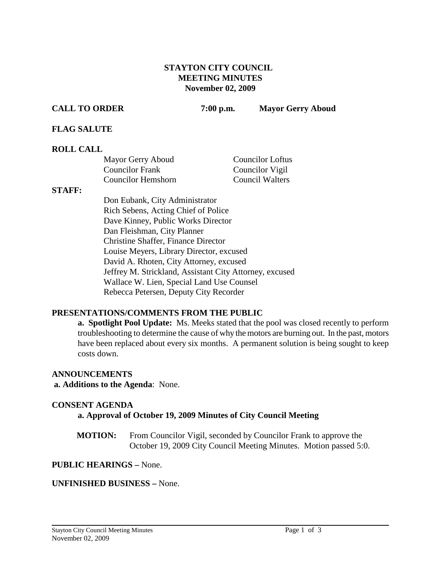## **STAYTON CITY COUNCIL MEETING MINUTES November 02, 2009**

**CALL TO ORDER 7:00 p.m. Mayor Gerry Aboud**

## **FLAG SALUTE**

## **ROLL CALL**

| Mayor Gerry Aboud      | <b>Councilor Loftus</b> |
|------------------------|-------------------------|
| <b>Councilor Frank</b> | Councilor Vigil         |
| Councilor Hemshorn     | Council Walters         |

### **STAFF:**

Don Eubank, City Administrator Rich Sebens, Acting Chief of Police Dave Kinney, Public Works Director Dan Fleishman, City Planner Christine Shaffer, Finance Director Louise Meyers, Library Director, excused David A. Rhoten, City Attorney, excused Jeffrey M. Strickland, Assistant City Attorney, excused Wallace W. Lien, Special Land Use Counsel Rebecca Petersen, Deputy City Recorder

## **PRESENTATIONS/COMMENTS FROM THE PUBLIC**

**a. Spotlight Pool Update:** Ms. Meeks stated that the pool was closed recently to perform troubleshooting to determine the cause of why the motors are burning out. In the past, motors have been replaced about every six months. A permanent solution is being sought to keep costs down.

### **ANNOUNCEMENTS**

**a. Additions to the Agenda**: None.

## **CONSENT AGENDA**

**a. Approval of October 19, 2009 Minutes of City Council Meeting** 

**MOTION:** From Councilor Vigil, seconded by Councilor Frank to approve the October 19, 2009 City Council Meeting Minutes. Motion passed 5:0.

## **PUBLIC HEARINGS –** None.

## **UNFINISHED BUSINESS –** None.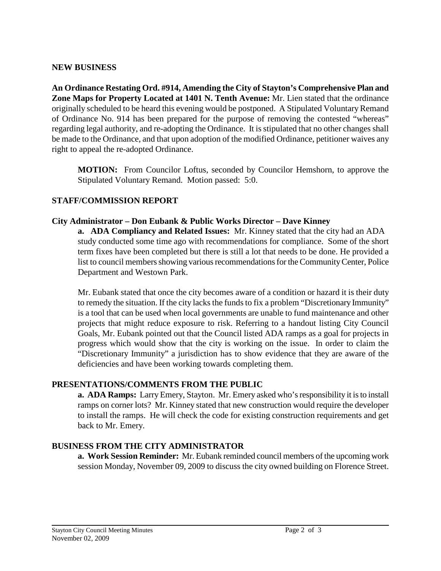## **NEW BUSINESS**

**An Ordinance Restating Ord. #914, Amending the City of Stayton's Comprehensive Plan and Zone Maps for Property Located at 1401 N. Tenth Avenue:** Mr. Lien stated that the ordinance originally scheduled to be heard this evening would be postponed. A Stipulated Voluntary Remand of Ordinance No. 914 has been prepared for the purpose of removing the contested "whereas" regarding legal authority, and re-adopting the Ordinance. It is stipulated that no other changes shall be made to the Ordinance, and that upon adoption of the modified Ordinance, petitioner waives any right to appeal the re-adopted Ordinance.

**MOTION:** From Councilor Loftus, seconded by Councilor Hemshorn, to approve the Stipulated Voluntary Remand. Motion passed: 5:0.

# **STAFF/COMMISSION REPORT**

## **City Administrator – Don Eubank & Public Works Director – Dave Kinney**

**a. ADA Compliancy and Related Issues:** Mr. Kinney stated that the city had an ADA study conducted some time ago with recommendations for compliance. Some of the short term fixes have been completed but there is still a lot that needs to be done. He provided a list to council members showing various recommendations for the Community Center, Police Department and Westown Park.

Mr. Eubank stated that once the city becomes aware of a condition or hazard it is their duty to remedy the situation. If the city lacks the funds to fix a problem "Discretionary Immunity" is a tool that can be used when local governments are unable to fund maintenance and other projects that might reduce exposure to risk. Referring to a handout listing City Council Goals, Mr. Eubank pointed out that the Council listed ADA ramps as a goal for projects in progress which would show that the city is working on the issue. In order to claim the "Discretionary Immunity" a jurisdiction has to show evidence that they are aware of the deficiencies and have been working towards completing them.

## **PRESENTATIONS/COMMENTS FROM THE PUBLIC**

**a. ADA Ramps:** Larry Emery, Stayton. Mr. Emery asked who's responsibility it is to install ramps on corner lots? Mr. Kinney stated that new construction would require the developer to install the ramps. He will check the code for existing construction requirements and get back to Mr. Emery.

# **BUSINESS FROM THE CITY ADMINISTRATOR**

**a. Work Session Reminder:** Mr. Eubank reminded council members of the upcoming work session Monday, November 09, 2009 to discuss the city owned building on Florence Street.